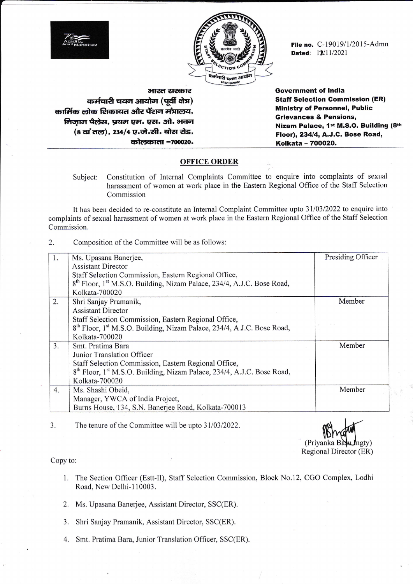

File no.  $C-19019/1/2015-Admn$ Dated: 11/11/2021

भारत **सरकार** कर्मचारी चयन आयोग (पूर्वी क्षेत्र) कार्मिक लोक शिकायत और पेंशन मंत्रालय, लिजाम पैलेस, प्रथम एम. एस. ओ. भवन (8 वां तल), 234/4 ए.जे.सी. बोस रोड, कोलकाता -700020.

Arririt  $7$ Mahots

> Government of lndia Staff Selection Gommission (ER) Ministry of Personnel, Public Grievances & Pensions, Nizam Palace, 1st M.S.O. Building (8th Floor), 23414, A.J.C. Bose Road, Kolkata - 7OOO2O.

## **OFFICE ORDER**

Subject: Constitution of Internal Complaints Committee to enquire into complaints of sexual harassment of women at work place in the Eastem Regional Office of the Staff Selection Commission

It has been decided to re-constitute an Internal Complaint Committee upto 31/03/2022 to enquire into complaints of sexual harassment of women at work place in the Eastern Regional Office of the Staff Selection Commission.

2. Composition of the Committee will be as follows:

| 1. | Ms. Upasana Banerjee,                                                                          | Presiding Officer |
|----|------------------------------------------------------------------------------------------------|-------------------|
|    | <b>Assistant Director</b>                                                                      |                   |
|    | Staff Selection Commission, Eastern Regional Office,                                           |                   |
|    | 8 <sup>th</sup> Floor, 1 <sup>st</sup> M.S.O. Building, Nizam Palace, 234/4, A.J.C. Bose Road, |                   |
|    | Kolkata-700020                                                                                 |                   |
| 2. | Shri Sanjay Pramanik,                                                                          | Member            |
|    | <b>Assistant Director</b>                                                                      |                   |
|    | Staff Selection Commission, Eastern Regional Office,                                           |                   |
|    | 8 <sup>th</sup> Floor, 1 <sup>st</sup> M.S.O. Building, Nizam Palace, 234/4, A.J.C. Bose Road, |                   |
|    | Kolkata-700020                                                                                 |                   |
| 3. | Smt. Pratima Bara                                                                              | Member            |
|    | Junior Translation Officer                                                                     |                   |
|    | Staff Selection Commission, Eastern Regional Office,                                           |                   |
|    | 8 <sup>th</sup> Floor, 1 <sup>st</sup> M.S.O. Building, Nizam Palace, 234/4, A.J.C. Bose Road, |                   |
|    | Kolkata-700020                                                                                 |                   |
| 4. | Ms. Shashi Obeid,                                                                              | Member            |
|    | Manager, YWCA of India Project,                                                                |                   |
|    | Burns House, 134, S.N. Banerjee Road, Kolkata-700013                                           |                   |

3. The tenure of the Committee will be upto 31/03/2022.

 $\n **B** \rightarrow \n **B** \rightarrow \n **C** \rightarrow \n **D** \rightarrow \n **D** \rightarrow \n **D** \rightarrow \n **D** \rightarrow \n **D** \rightarrow \n **D** \rightarrow \n **D** \rightarrow \n **D** \rightarrow \n **D** \rightarrow \n **D** \rightarrow \n **D** \rightarrow \n **D** \rightarrow \n **D** \rightarrow \n **D** \rightarrow \n **D** \rightarrow \n **D** \rightarrow \n **D** \rightarrow \$ (Priyanka B Regional Director (ER)

Copy to:

- 1. The Section Officer (Estt-II), Staff Selection Commission, Block No.12, CGO Complex, Lodhi Road, New Delhi-110003.
- 2. Ms. Upasana Banerjee, Assistant Director, SSC(ER).
- 3. Shri Sanjay Pramanik, Assistant Director, SSC(ER).
- 4. Smt. Pratima Bara, Junior Translation Officer, SSC(ER).